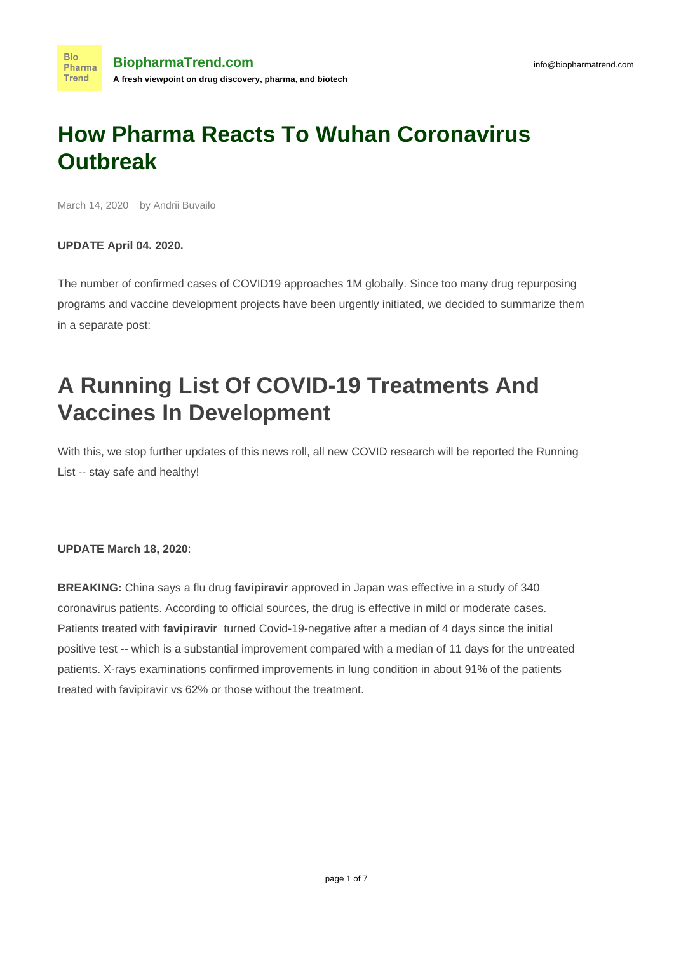## **How Pharma Reacts To Wuhan Coronavirus Outbreak**

March 14, 2020 by Andrii Buvailo

#### **UPDATE April 04. 2020.**

The number of confirmed cases of COVID19 approaches 1M globally. Since too many drug repurposing programs and vaccine development projects have been urgently initiated, we decided to summarize them in a separate post:

# **[A Running List Of COVID-19 Treatments And](https://www.biopharmatrend.com/covid-19-treatments-and-vaccines/) [Vaccines In Development](https://www.biopharmatrend.com/covid-19-treatments-and-vaccines/)**

With this, we stop further updates of this news roll, all new COVID research will be reported the Running List -- stay safe and healthy!

#### **UPDATE March 18, 2020**:

**BREAKING:** China says a flu drug **favipiravir** approved in Japan was effective in a study of 340 coronavirus patients. According to official sources, the drug is effective in mild or moderate cases. Patients treated with **favipiravir** turned Covid-19-negative after a median of 4 days since the initial positive test -- which is a substantial improvement compared with a median of 11 days for the untreated patients. X-rays examinations confirmed improvements in lung condition in about 91% of the patients treated with favipiravir vs 62% or those without the treatment.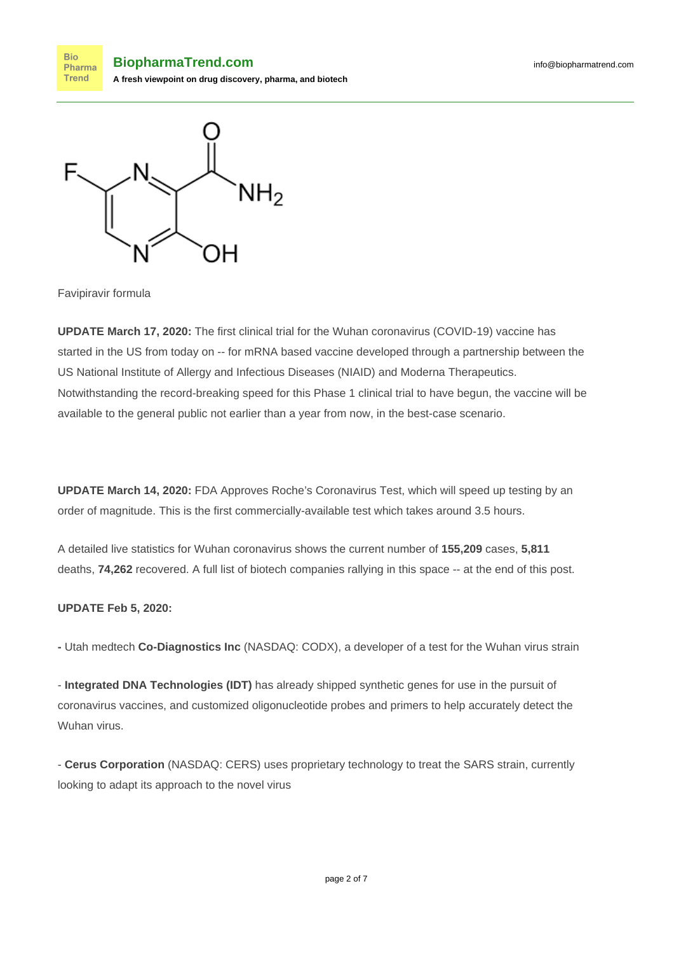**Bio BiopharmaTrend.com** Pharma **Trend A fresh viewpoint on drug discovery, pharma, and biotech**



Favipiravir formula

**UPDATE March 17, 2020:** The first clinical trial for the Wuhan coronavirus (COVID-19) vaccine [has](https://www.nature.com/articles/d41586-020-00154-w?utm_source=twt_nnc&utm_medium=social&utm_campaign=naturenews&sf231582530=1) [started in the US](https://www.nature.com/articles/d41586-020-00154-w?utm_source=twt_nnc&utm_medium=social&utm_campaign=naturenews&sf231582530=1) from today on -- for mRNA based vaccine developed through a partnership between the US National Institute of Allergy and Infectious Diseases (NIAID) and Moderna Therapeutics. Notwithstanding the record-breaking speed for this Phase 1 clinical trial to have begun, the vaccine will be available to the general public not earlier than a year from now, in the best-case scenario.

**UPDATE March 14, 2020:** FDA Approves [Roche'](https://www.linkedin.com/company/roche/)s Coronavirus Test, which will speed up testing by an order of magnitude. This is the first commercially-available test which takes around 3.5 hours.

[A detailed live statistics for Wuhan coronavirus](https://www.worldometers.info/coronavirus/?fbclid=IwAR1rP20FWbf2y7ZzWDkf4LUCrE45xYRTX1yeJvwRGNzKVNx5chspvmLyGaw) shows the current number of **155,209** cases, **5,811** deaths, **74,262** recovered. A full list of biotech companies rallying in this space -- at the end of this post.

#### **UPDATE Feb 5, 2020:**

**-** Utah medtech **Co-Diagnostics Inc** (NASDAQ: [CODX\)](http://finance.yahoo.com/q?s=CODX), a developer of a test for the Wuhan virus strain

- **Integrated DNA Technologies (IDT)** has already shipped [synthetic genes for use in the pursuit of](https://go.synbiobeta.com/l/408192/2020-02-04/kg1gcl) [coronavirus vaccines](https://go.synbiobeta.com/l/408192/2020-02-04/kg1gcl), and customized oligonucleotide probes and primers to help accurately detect the Wuhan virus.

- **Cerus Corporation** (NASDAQ: [CERS](http://finance.yahoo.com/q?s=CERS)) uses proprietary technology to treat the SARS strain, currently looking to adapt its approach to the novel virus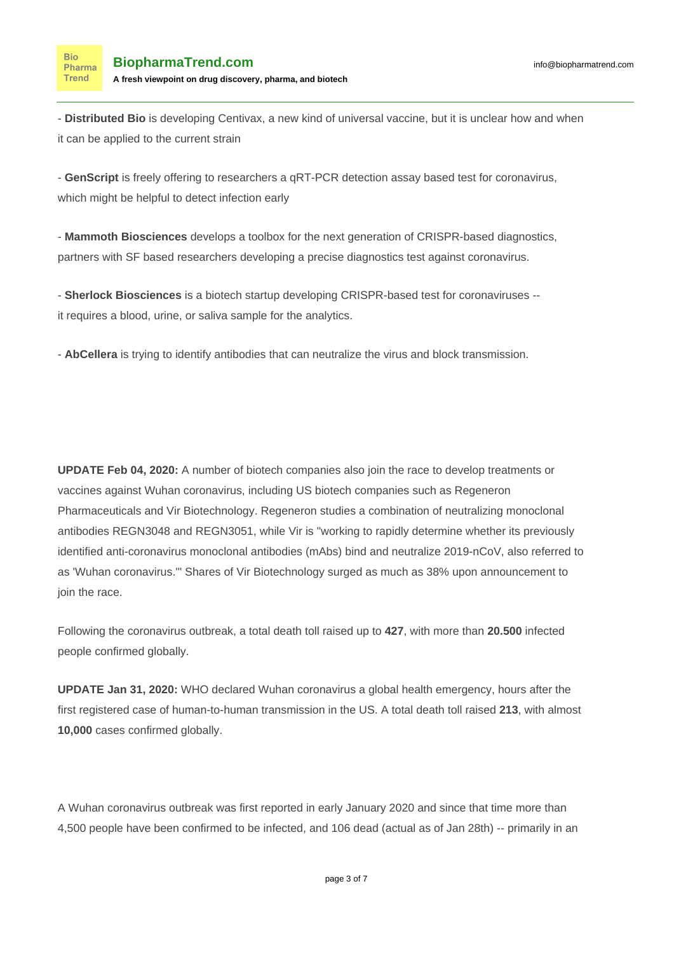- **Distributed Bio** is developing [Centivax, a new kind of universal vaccine,](https://go.synbiobeta.com/l/408192/2020-02-04/kg1g9x) but it is unclear how and when it can be applied to the current strain

- **GenScript** is [freely offering to researchers](https://www.genscript.com/2019-ncov-qrt-pcr-detection-assay.html) a qRT-PCR detection assay based test for coronavirus, which might be helpful to detect infection early

- **Mammoth Biosciences** develops a toolbox for the [next generation of CRISPR-based diagnostics,](https://go.synbiobeta.com/l/408192/2020-02-04/kg1gc4) partners with SF based researchers developing a precise diagnostics test against coronavirus.

- **Sherlock Biosciences** is a biotech startup developing CRISPR-based test for coronaviruses - it requires a blood, urine, or saliva sample for the analytics.

- **AbCellera** is trying to identify antibodies that can neutralize the virus and block transmission.

**UPDATE Feb 04, 2020:** A number of biotech companies also join the race to develop treatments or vaccines against Wuhan coronavirus, including US biotech companies such as [Regeneron](https://www.biopharmatrend.com/m/company/regeneron/) [Pharmaceuticals](https://www.biopharmatrend.com/m/company/regeneron/) and [Vir Biotechnology.](https://www.biopharmatrend.com/m/company/vir-biotechnology/) Regeneron studies a combination of neutralizing monoclonal antibodies REGN3048 and REGN3051, while Vir is "working to rapidly determine whether its previously identified anti-coronavirus monoclonal antibodies (mAbs) bind and neutralize 2019-nCoV, also referred to as 'Wuhan coronavirus.'" Shares of Vir Biotechnology surged as much as 38% upon announcement to join the race.

Following the coronavirus outbreak, a total death toll raised up to **427**, with more than **20.500** infected people confirmed globally.

**UPDATE Jan 31, 2020:** WHO declared Wuhan coronavirus a [global health emergency](https://www.cnbc.com/2020/01/30/who-declares-china-coronavirus-a-global-health-emergency.html), hours after the first registered case of human-to-human transmission in the US. A total death toll raised **213**, with almost **10,000** cases confirmed globally.

A Wuhan coronavirus outbreak was first reported in early January 2020 and since that time more than 4,500 people have been confirmed to be infected, and 106 dead (actual as of Jan 28th) -- primarily in an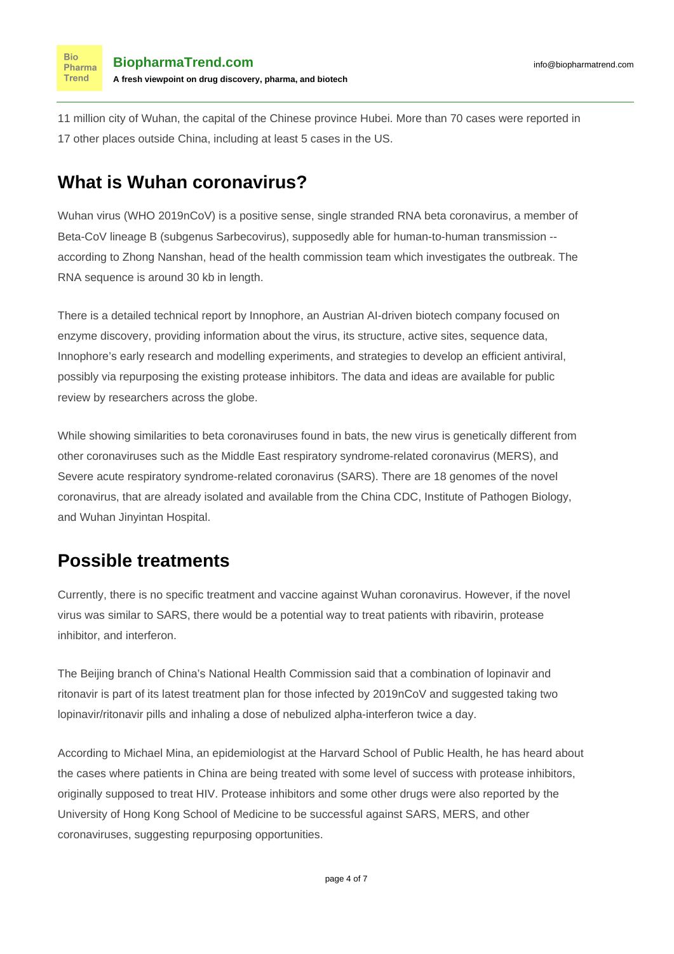11 million city of Wuhan, the capital of the Chinese province Hubei. More than 70 cases were reported in 17 other places outside China, including at least 5 cases in the US.

### **What is Wuhan coronavirus?**

**Bio** Pharma Trend

Wuhan virus (WHO 2019nCoV) is a positive sense, single stranded RNA beta coronavirus, a member of Beta-CoV lineage B (subgenus Sarbecovirus), supposedly able for human-to-human transmission -[according to Zhong Nanshan](https://www.cbc.ca/news/health/coronavirus-human-to-human-1.5433187), head of the health commission team which investigates the outbreak. The RNA sequence is around 30 kb in length.

There is a [detailed technical report](https://innophore.com/2019-ncov/) by [Innophore,](https://www.biopharmatrend.com/m/company/innophore/) an Austrian AI-driven biotech company focused on enzyme discovery, providing information about the virus, its structure, active sites, sequence data, Innophore's early research and modelling experiments, and strategies to develop an efficient antiviral, possibly via repurposing the existing protease inhibitors. The data and ideas are available for public review by researchers across the globe.

While showing similarities to beta coronaviruses found in bats, the new virus is genetically different from other coronaviruses such as the Middle East respiratory syndrome-related coronavirus (MERS), and Severe acute respiratory syndrome-related coronavirus (SARS). There are 18 genomes of the novel coronavirus, that are already isolated and available from the China CDC, Institute of Pathogen Biology, and Wuhan Jinyintan Hospital.

## **Possible treatments**

Currently, there is no specific treatment and vaccine against Wuhan coronavirus. However, if the novel virus was similar to SARS, there would be a potential way to treat patients with ribavirin, protease inhibitor, and interferon.

The Beijing branch of China's National Health Commission said that a combination of lopinavir and ritonavir is part of its latest treatment plan for those infected by 2019nCoV and suggested taking two lopinavir/ritonavir pills and inhaling a dose of nebulized alpha-interferon twice a day.

According to Michael Mina, an epidemiologist at the Harvard School of Public Health, he has heard about the cases where patients in China are being treated with some level of success with protease inhibitors, originally supposed to treat HIV. Protease inhibitors and some other drugs were also reported by the University of Hong Kong School of Medicine to be successful against SARS, MERS, and other coronaviruses, suggesting repurposing opportunities.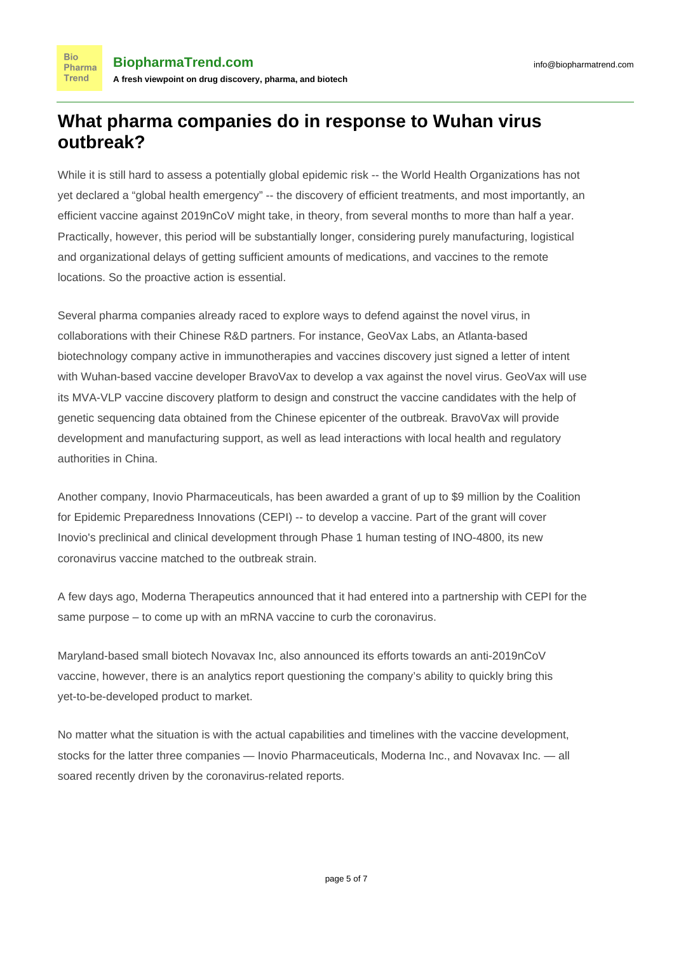### **What pharma companies do in response to Wuhan virus outbreak?**

While it is still hard to assess a potentially global epidemic risk -- the World Health Organizations has [not](https://www.sciencealert.com/here-s-why-the-who-hasn-t-declared-the-wuhan-virus-as-a-global-health-emergency) [yet declared a "global health emergency"](https://www.sciencealert.com/here-s-why-the-who-hasn-t-declared-the-wuhan-virus-as-a-global-health-emergency) -- the discovery of efficient treatments, and most importantly, an efficient vaccine against 2019nCoV might take, in theory, from several months to more than half a year. Practically, however, this period will be substantially longer, considering purely manufacturing, logistical and organizational delays of getting sufficient amounts of medications, and vaccines to the remote locations. So the proactive action is essential.

Several pharma companies already raced to explore ways to defend against the novel virus, in collaborations with their Chinese R&D partners. For instance, [GeoVax Labs](https://www.biopharmatrend.com/m/company/geovax/), an Atlanta-based biotechnology company active in immunotherapies and vaccines discovery just [signed a letter of intent](https://www.contractpharma.com/contents/view_breaking-news/2020-01-28/geovax-bravovax-to-develop-coronavirus-vaccine/) with Wuhan-based vaccine developer BravoVax to develop a vax against the novel virus. GeoVax will use its MVA-VLP vaccine discovery platform to design and construct the vaccine candidates with the help of genetic sequencing data obtained from the Chinese epicenter of the outbreak. BravoVax will provide development and manufacturing support, as well as lead interactions with local health and regulatory authorities in China.

Another company, [Inovio Pharmaceuticals](https://www.biopharmatrend.com/m/company/inovio-pharmaceuticals/), has been [awarded a grant of up to \\$9 million](https://www.streetwisereports.com/article/2020/01/27/inovio-pharma-awarded-9m-development-grant-for-coronavirus-vaccine.html) by the Coalition for Epidemic Preparedness Innovations (CEPI) -- to develop a vaccine. Part of the grant will cover Inovio's preclinical and clinical development through Phase 1 human testing of INO-4800, its new coronavirus vaccine matched to the outbreak strain.

A few days ago, [Moderna Therapeutics](https://www.biopharmatrend.com/m/company/moderna-therapeutics/) announced that it [had entered into a partnership with CEPI](https://www.businesswire.com/news/home/20200123005458/en/Moderna-Announces-Funding-Award-CEPI-Accelerate-Development) for the same purpose – to come up with an mRNA vaccine to curb the coronavirus.

Maryland-based small biotech [Novavax Inc,](https://www.biopharmatrend.com/m/company/novavax/) also announced its efforts towards an anti-2019nCoV vaccine, however, there is an [analytics report](https://seekingalpha.com/article/4319236-novavax-dont-fall-for-coronavirus-hype) questioning the company's ability to quickly bring this yet-to-be-developed product to market.

No matter what the situation is with the actual capabilities and timelines with the vaccine development, stocks for the latter three companies — Inovio Pharmaceuticals, Moderna Inc., and Novavax Inc. — all soared recently driven by the coronavirus-related reports.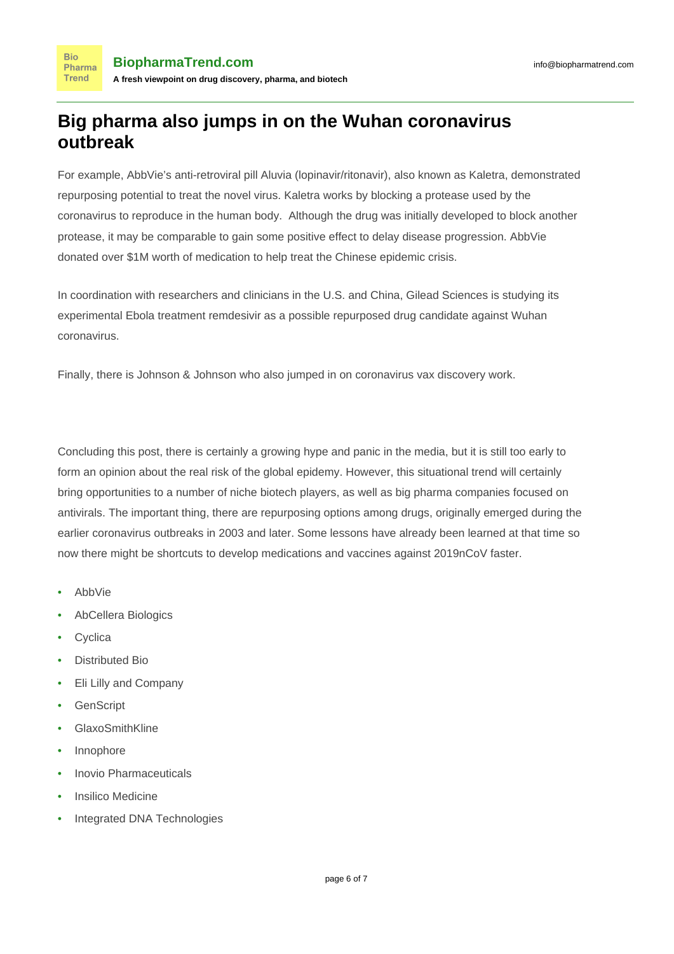## **Big pharma also jumps in on the Wuhan coronavirus outbreak**

For example, [AbbVie](https://www.biopharmatrend.com/m/company/abbvie/)'s anti-retroviral pill Aluvia (lopinavir/ritonavir), also known as Kaletra, demonstrated repurposing potential to treat the novel virus. Kaletra works by blocking a protease used by the coronavirus to reproduce in the human body. Although the drug was initially developed to block another protease, it may be comparable to gain some positive effect to delay disease progression. AbbVie [donated over \\$1M worth of medication](https://www.pharmamanufacturing.com/industrynews/2020/abbvie-to-donate-hiv-drug-to-combat-coronavirus/) to help treat the Chinese epidemic crisis.

In coordination with researchers and clinicians in the U.S. and China, [Gilead Sciences](https://www.biopharmatrend.com/m/company/gilead/) is studying its experimental Ebola treatment remdesivir as a possible repurposed drug candidate against Wuhan coronavirus.

Finally, there is Johnson & Johnson who also [jumped in on coronavirus vax](https://www.fiercebiotech.com/biotech/j-j-jumping-coronavirus-vax-work-as-disease-continues-its-spread) discovery work.

Concluding this post, there is certainly a growing hype and panic in the media, but it is still too early to form an opinion about the real risk of the global epidemy. However, this situational trend will certainly bring opportunities to a number of niche biotech players, as well as big pharma companies focused on antivirals. The important thing, there are repurposing options among drugs, originally emerged during the earlier coronavirus outbreaks in 2003 and later. Some lessons have already been learned at that time so now there might be shortcuts to develop medications and vaccines against 2019nCoV faster.

• AbbVie

**Bio** Pharma **Trend** 

- AbCellera Biologics
- **Cyclica**
- Distributed Bio
- Eli Lilly and Company
- GenScript
- GlaxoSmithKline
- Innophore
- Inovio Pharmaceuticals
- Insilico Medicine
- Integrated DNA Technologies